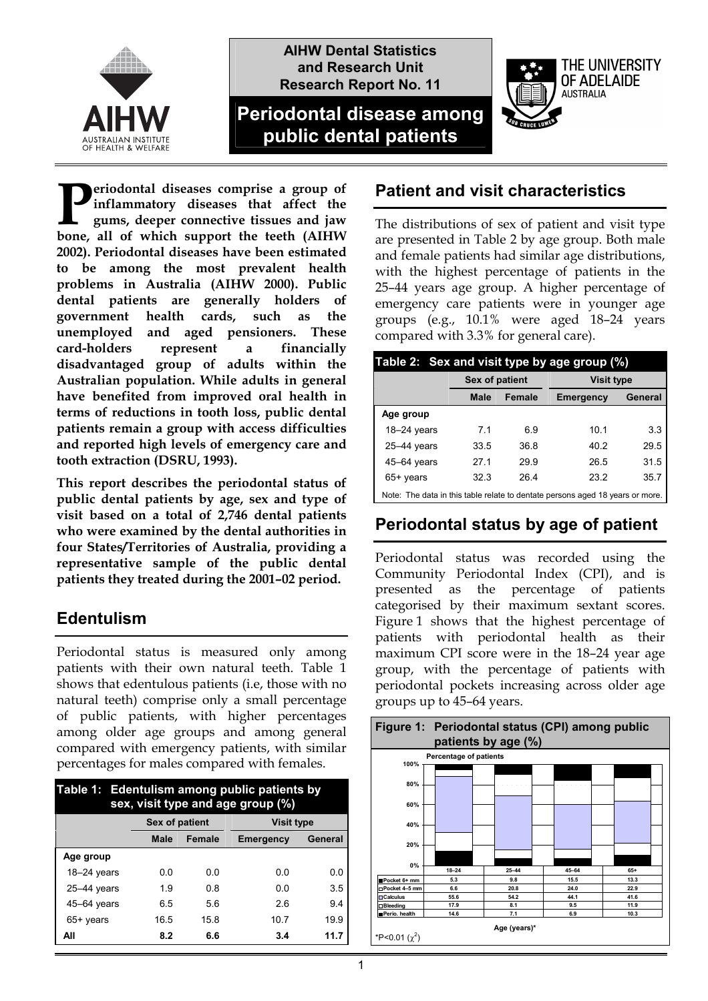

**AIHW Dental Statistics and Research Unit Research Report No. 11**

# **Periodontal disease among public dental patients**



**This report describes the periodontal status of public dental patients by age, sex and type of visit based on a total of 2,746 dental patients who were examined by the dental authorities in four States/Territories of Australia, providing a representative sample of the public dental patients they treated during the 2001–02 period.** 

### **Edentulism**

Periodontal status is measured only among patients with their own natural teeth. Table 1 shows that edentulous patients (i.e, those with no natural teeth) comprise only a small percentage of public patients, with higher percentages among older age groups and among general compared with emergency patients, with similar percentages for males compared with females.

| Table 1: Edentulism among public patients by<br>sex, visit type and age group (%) |                |        |                   |         |  |
|-----------------------------------------------------------------------------------|----------------|--------|-------------------|---------|--|
|                                                                                   | Sex of patient |        | <b>Visit type</b> |         |  |
|                                                                                   | <b>Male</b>    | Female | Emergency         | General |  |
| Age group                                                                         |                |        |                   |         |  |
| $18 - 24$ years                                                                   | 0.0            | 0.0    | 0.0               | 0.0     |  |
| $25-44$ years                                                                     | 1.9            | 0.8    | 0.0               | 3.5     |  |
| 45-64 years                                                                       | 6.5            | 5.6    | 2.6               | 9.4     |  |
| 65+ years                                                                         | 16.5           | 15.8   | 10.7              | 19.9    |  |
| All                                                                               | 8.2            | 6.6    | 3.4               | 11.7    |  |

## **Patient and visit characteristics**

The distributions of sex of patient and visit type are presented in Table 2 by age group. Both male and female patients had similar age distributions, with the highest percentage of patients in the 25–44 years age group. A higher percentage of emergency care patients were in younger age groups (e.g., 10.1% were aged 18–24 years compared with 3.3% for general care).

THE UNIVERSITY OF ADFLAIDE **AUSTRALIA** 

| Table 2: Sex and visit type by age group (%)                                  |                |               |                   |         |  |
|-------------------------------------------------------------------------------|----------------|---------------|-------------------|---------|--|
|                                                                               | Sex of patient |               | <b>Visit type</b> |         |  |
|                                                                               | <b>Male</b>    | <b>Female</b> | Emergency         | General |  |
| Age group                                                                     |                |               |                   |         |  |
| $18-24$ years                                                                 | 7.1            | 6.9           | 10.1              | 3.3     |  |
| $25 - 44$ years                                                               | 33.5           | 36.8          | 40.2              | 29.5    |  |
| 45-64 years                                                                   | 27.1           | 29.9          | 26.5              | 31.5    |  |
| 65+ years                                                                     | 32.3           | 26.4          | 23.2              | 35.7    |  |
| Note: The data in this table relate to dentate persons aged 18 years or more. |                |               |                   |         |  |

### **Periodontal status by age of patient**

Periodontal status was recorded using the Community Periodontal Index (CPI), and is presented as the percentage of patients categorised by their maximum sextant scores. Figure 1 shows that the highest percentage of patients with periodontal health as their maximum CPI score were in the 18–24 year age group, with the percentage of patients with periodontal pockets increasing across older age groups up to 45–64 years.

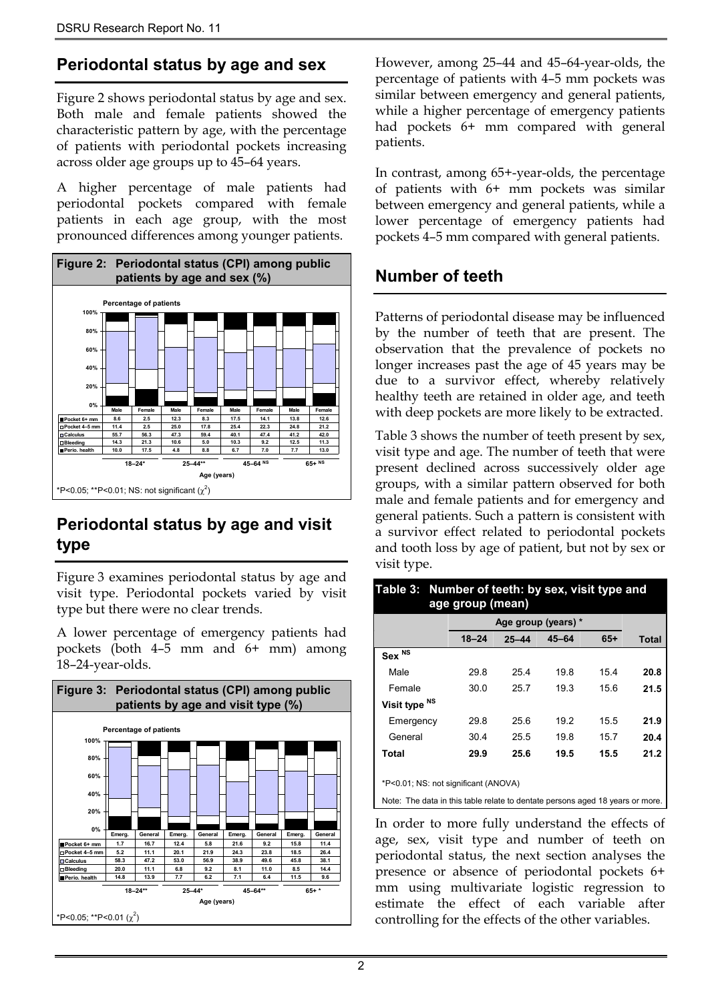### **Periodontal status by age and sex**

Figure 2 shows periodontal status by age and sex. Both male and female patients showed the characteristic pattern by age, with the percentage of patients with periodontal pockets increasing across older age groups up to 45–64 years.

A higher percentage of male patients had periodontal pockets compared with female patients in each age group, with the most pronounced differences among younger patients.



## **Periodontal status by age and visit type**

Figure 3 examines periodontal status by age and visit type. Periodontal pockets varied by visit type but there were no clear trends.

A lower percentage of emergency patients had pockets (both 4–5 mm and 6+ mm) among 18–24-year-olds.



However, among 25–44 and 45–64-year-olds, the percentage of patients with 4–5 mm pockets was similar between emergency and general patients, while a higher percentage of emergency patients had pockets 6+ mm compared with general patients.

In contrast, among 65+-year-olds, the percentage of patients with 6+ mm pockets was similar between emergency and general patients, while a lower percentage of emergency patients had pockets 4–5 mm compared with general patients.

### **Number of teeth**

Patterns of periodontal disease may be influenced by the number of teeth that are present. The observation that the prevalence of pockets no longer increases past the age of 45 years may be due to a survivor effect, whereby relatively healthy teeth are retained in older age, and teeth with deep pockets are more likely to be extracted.

Table 3 shows the number of teeth present by sex, visit type and age. The number of teeth that were present declined across successively older age groups, with a similar pattern observed for both male and female patients and for emergency and general patients. Such a pattern is consistent with a survivor effect related to periodontal pockets and tooth loss by age of patient, but not by sex or visit type.

| Table 3: Number of teeth: by sex, visit type and<br>age group (mean)          |                     |           |           |       |              |
|-------------------------------------------------------------------------------|---------------------|-----------|-----------|-------|--------------|
|                                                                               | Age group (years) * |           |           |       |              |
|                                                                               | $18 - 24$           | $25 - 44$ | $45 - 64$ | $65+$ | <b>Total</b> |
| Sex <sup>NS</sup>                                                             |                     |           |           |       |              |
| Male                                                                          | 29.8                | 25.4      | 19.8      | 15.4  | 20.8         |
| Female                                                                        | 30.0                | 25.7      | 19.3      | 15.6  | 21.5         |
| Visit type NS                                                                 |                     |           |           |       |              |
| Emergency                                                                     | 29.8                | 25.6      | 19.2      | 15.5  | 21.9         |
| General                                                                       | 30.4                | 25.5      | 19.8      | 15.7  | 20.4         |
| Total                                                                         | 29.9                | 25.6      | 19.5      | 15.5  | 21.2         |
|                                                                               |                     |           |           |       |              |
| *P<0.01; NS: not significant (ANOVA)                                          |                     |           |           |       |              |
| Note: The data in this table relate to dentate persons aged 18 years or more. |                     |           |           |       |              |

In order to more fully understand the effects of age, sex, visit type and number of teeth on periodontal status, the next section analyses the presence or absence of periodontal pockets 6+ mm using multivariate logistic regression to estimate the effect of each variable after controlling for the effects of the other variables.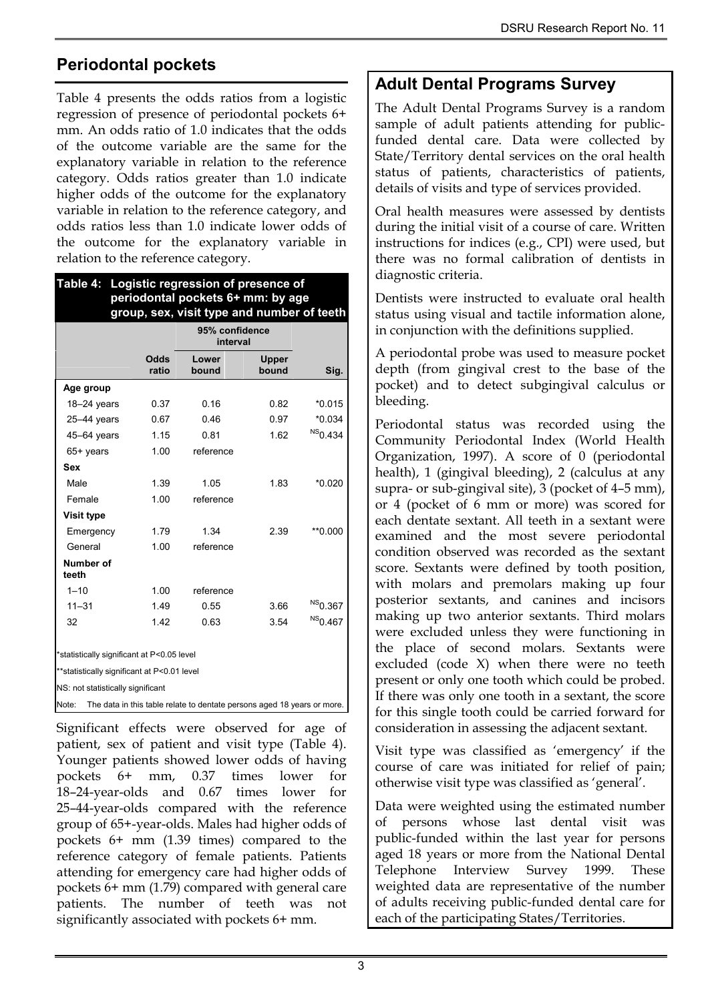# **Periodontal pockets**

Table 4 presents the odds ratios from a logistic regression of presence of periodontal pockets 6+ mm. An odds ratio of 1.0 indicates that the odds of the outcome variable are the same for the explanatory variable in relation to the reference category. Odds ratios greater than 1.0 indicate higher odds of the outcome for the explanatory variable in relation to the reference category, and odds ratios less than 1.0 indicate lower odds of the outcome for the explanatory variable in relation to the reference category.

|                                             |               | group, sex, visit type and number of teeth<br>95% confidence<br>interval |                |                     |  |
|---------------------------------------------|---------------|--------------------------------------------------------------------------|----------------|---------------------|--|
|                                             | Odds<br>ratio | Lower<br>bound                                                           | Upper<br>bound | Sig.                |  |
| Age group                                   |               |                                                                          |                |                     |  |
| $18 - 24$ years                             | 0.37          | 0.16                                                                     | 0.82           | $*0.015$            |  |
| $25 - 44$ years                             | 0.67          | 0.46                                                                     | 0.97           | $*0.034$            |  |
| 45-64 years                                 | 1.15          | 0.81                                                                     | 1.62           | $NS0.434$           |  |
| $65+$ years                                 | 1.00          | reference                                                                |                |                     |  |
| <b>Sex</b>                                  |               |                                                                          |                |                     |  |
| Male                                        | 1.39          | 1.05                                                                     | 1.83           | $*0.020$            |  |
| Female                                      | 1.00          | reference                                                                |                |                     |  |
| <b>Visit type</b>                           |               |                                                                          |                |                     |  |
| Emergency                                   | 1.79          | 1 34                                                                     | 2.39           | $*$ 0.000           |  |
| General                                     | 1.00          | reference                                                                |                |                     |  |
| Number of<br>teeth                          |               |                                                                          |                |                     |  |
| $1 - 10$                                    | 1.00          | reference                                                                |                |                     |  |
| $11 - 31$                                   | 1.49          | 0.55                                                                     | 3.66           | <sup>NS</sup> 0.367 |  |
| 32                                          | 1.42          | 0.63                                                                     | 3.54           | <sup>NS</sup> 0.467 |  |
| *statistically significant at P<0.05 level  |               |                                                                          |                |                     |  |
| **statistically significant at P<0.01 level |               |                                                                          |                |                     |  |
| NS: not statistically significant           |               |                                                                          |                |                     |  |

Significant effects were observed for age of patient, sex of patient and visit type (Table 4). Younger patients showed lower odds of having pockets 6+ mm, 0.37 times lower for 18–24-year-olds and 0.67 times lower for 25–44-year-olds compared with the reference group of 65+-year-olds. Males had higher odds of pockets 6+ mm (1.39 times) compared to the reference category of female patients. Patients attending for emergency care had higher odds of pockets 6+ mm (1.79) compared with general care patients. The number of teeth was not significantly associated with pockets 6+ mm.

### **Adult Dental Programs Survey**

The Adult Dental Programs Survey is a random sample of adult patients attending for publicfunded dental care. Data were collected by State/Territory dental services on the oral health status of patients, characteristics of patients, details of visits and type of services provided.

Oral health measures were assessed by dentists during the initial visit of a course of care. Written instructions for indices (e.g., CPI) were used, but there was no formal calibration of dentists in diagnostic criteria.

Dentists were instructed to evaluate oral health status using visual and tactile information alone, in conjunction with the definitions supplied.

A periodontal probe was used to measure pocket depth (from gingival crest to the base of the pocket) and to detect subgingival calculus or bleeding.

Periodontal status was recorded using the Community Periodontal Index (World Health Organization, 1997). A score of 0 (periodontal health), 1 (gingival bleeding), 2 (calculus at any supra- or sub-gingival site), 3 (pocket of 4–5 mm), or 4 (pocket of 6 mm or more) was scored for each dentate sextant. All teeth in a sextant were examined and the most severe periodontal condition observed was recorded as the sextant score. Sextants were defined by tooth position, with molars and premolars making up four posterior sextants, and canines and incisors making up two anterior sextants. Third molars were excluded unless they were functioning in the place of second molars. Sextants were excluded (code X) when there were no teeth present or only one tooth which could be probed. If there was only one tooth in a sextant, the score for this single tooth could be carried forward for consideration in assessing the adjacent sextant.

Visit type was classified as 'emergency' if the course of care was initiated for relief of pain; otherwise visit type was classified as 'general'.

Data were weighted using the estimated number of persons whose last dental visit was public-funded within the last year for persons aged 18 years or more from the National Dental Telephone Interview Survey 1999. These weighted data are representative of the number of adults receiving public-funded dental care for each of the participating States/Territories.